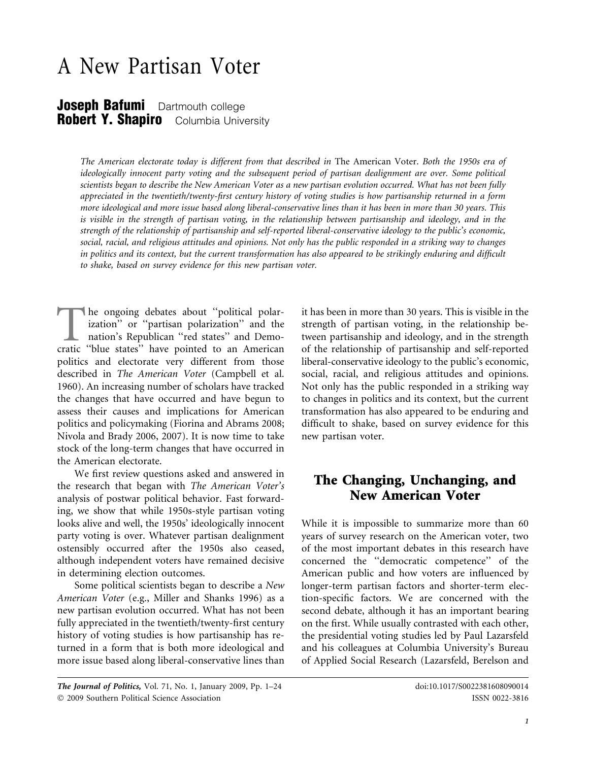# A New Partisan Voter

**Joseph Bafumi** Dartmouth college Robert Y. Shapiro Columbia University

> The American electorate today is different from that described in The American Voter. Both the 1950s era of ideologically innocent party voting and the subsequent period of partisan dealignment are over. Some political scientists began to describe the New American Voter as a new partisan evolution occurred. What has not been fully appreciated in the twentieth/twenty-first century history of voting studies is how partisanship returned in a form more ideological and more issue based along liberal-conservative lines than it has been in more than 30 years. This is visible in the strength of partisan voting, in the relationship between partisanship and ideology, and in the strength of the relationship of partisanship and self-reported liberal-conservative ideology to the public's economic, social, racial, and religious attitudes and opinions. Not only has the public responded in a striking way to changes in politics and its context, but the current transformation has also appeared to be strikingly enduring and difficult to shake, based on survey evidence for this new partisan voter.

The ongoing debates about "political polarization" and the nation's Republican "red states" and Democratic "blue states" have pointed to an American ization'' or ''partisan polarization'' and the nation's Republican ''red states'' and Democratic ''blue states'' have pointed to an American politics and electorate very different from those described in The American Voter (Campbell et al. 1960). An increasing number of scholars have tracked the changes that have occurred and have begun to assess their causes and implications for American politics and policymaking (Fiorina and Abrams 2008; Nivola and Brady 2006, 2007). It is now time to take stock of the long-term changes that have occurred in the American electorate.

We first review questions asked and answered in the research that began with The American Voter's analysis of postwar political behavior. Fast forwarding, we show that while 1950s-style partisan voting looks alive and well, the 1950s' ideologically innocent party voting is over. Whatever partisan dealignment ostensibly occurred after the 1950s also ceased, although independent voters have remained decisive in determining election outcomes.

Some political scientists began to describe a New American Voter (e.g., Miller and Shanks 1996) as a new partisan evolution occurred. What has not been fully appreciated in the twentieth/twenty-first century history of voting studies is how partisanship has returned in a form that is both more ideological and more issue based along liberal-conservative lines than

it has been in more than 30 years. This is visible in the strength of partisan voting, in the relationship between partisanship and ideology, and in the strength of the relationship of partisanship and self-reported liberal-conservative ideology to the public's economic, social, racial, and religious attitudes and opinions. Not only has the public responded in a striking way to changes in politics and its context, but the current transformation has also appeared to be enduring and difficult to shake, based on survey evidence for this new partisan voter.

# The Changing, Unchanging, and New American Voter

While it is impossible to summarize more than 60 years of survey research on the American voter, two of the most important debates in this research have concerned the ''democratic competence'' of the American public and how voters are influenced by longer-term partisan factors and shorter-term election-specific factors. We are concerned with the second debate, although it has an important bearing on the first. While usually contrasted with each other, the presidential voting studies led by Paul Lazarsfeld and his colleagues at Columbia University's Bureau of Applied Social Research (Lazarsfeld, Berelson and

**The Journal of Politics,** Vol. 71, No. 1, January 2009, Pp. 1–24 doi:10.1017/S0022381608090014 © 2009 Southern Political Science Association **ISSN 0022-3816**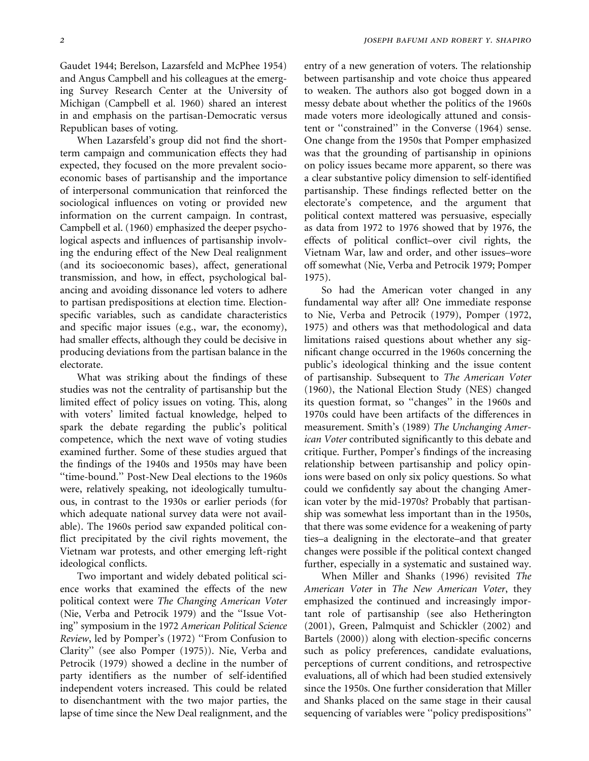Gaudet 1944; Berelson, Lazarsfeld and McPhee 1954) and Angus Campbell and his colleagues at the emerging Survey Research Center at the University of Michigan (Campbell et al. 1960) shared an interest in and emphasis on the partisan-Democratic versus Republican bases of voting.

When Lazarsfeld's group did not find the shortterm campaign and communication effects they had expected, they focused on the more prevalent socioeconomic bases of partisanship and the importance of interpersonal communication that reinforced the sociological influences on voting or provided new information on the current campaign. In contrast, Campbell et al. (1960) emphasized the deeper psychological aspects and influences of partisanship involving the enduring effect of the New Deal realignment (and its socioeconomic bases), affect, generational transmission, and how, in effect, psychological balancing and avoiding dissonance led voters to adhere to partisan predispositions at election time. Electionspecific variables, such as candidate characteristics and specific major issues (e.g., war, the economy), had smaller effects, although they could be decisive in producing deviations from the partisan balance in the electorate.

What was striking about the findings of these studies was not the centrality of partisanship but the limited effect of policy issues on voting. This, along with voters' limited factual knowledge, helped to spark the debate regarding the public's political competence, which the next wave of voting studies examined further. Some of these studies argued that the findings of the 1940s and 1950s may have been "time-bound." Post-New Deal elections to the 1960s were, relatively speaking, not ideologically tumultuous, in contrast to the 1930s or earlier periods (for which adequate national survey data were not available). The 1960s period saw expanded political conflict precipitated by the civil rights movement, the Vietnam war protests, and other emerging left-right ideological conflicts.

Two important and widely debated political science works that examined the effects of the new political context were The Changing American Voter (Nie, Verba and Petrocik 1979) and the ''Issue Voting'' symposium in the 1972 American Political Science Review, led by Pomper's (1972) ''From Confusion to Clarity'' (see also Pomper (1975)). Nie, Verba and Petrocik (1979) showed a decline in the number of party identifiers as the number of self-identified independent voters increased. This could be related to disenchantment with the two major parties, the lapse of time since the New Deal realignment, and the entry of a new generation of voters. The relationship between partisanship and vote choice thus appeared to weaken. The authors also got bogged down in a messy debate about whether the politics of the 1960s made voters more ideologically attuned and consistent or ''constrained'' in the Converse (1964) sense. One change from the 1950s that Pomper emphasized was that the grounding of partisanship in opinions on policy issues became more apparent, so there was a clear substantive policy dimension to self-identified partisanship. These findings reflected better on the electorate's competence, and the argument that political context mattered was persuasive, especially as data from 1972 to 1976 showed that by 1976, the effects of political conflict–over civil rights, the Vietnam War, law and order, and other issues–wore off somewhat (Nie, Verba and Petrocik 1979; Pomper 1975).

So had the American voter changed in any fundamental way after all? One immediate response to Nie, Verba and Petrocik (1979), Pomper (1972, 1975) and others was that methodological and data limitations raised questions about whether any significant change occurred in the 1960s concerning the public's ideological thinking and the issue content of partisanship. Subsequent to The American Voter (1960), the National Election Study (NES) changed its question format, so ''changes'' in the 1960s and 1970s could have been artifacts of the differences in measurement. Smith's (1989) The Unchanging American Voter contributed significantly to this debate and critique. Further, Pomper's findings of the increasing relationship between partisanship and policy opinions were based on only six policy questions. So what could we confidently say about the changing American voter by the mid-1970s? Probably that partisanship was somewhat less important than in the 1950s, that there was some evidence for a weakening of party ties–a dealigning in the electorate–and that greater changes were possible if the political context changed further, especially in a systematic and sustained way.

When Miller and Shanks (1996) revisited The American Voter in The New American Voter, they emphasized the continued and increasingly important role of partisanship (see also Hetherington (2001), Green, Palmquist and Schickler (2002) and Bartels (2000)) along with election-specific concerns such as policy preferences, candidate evaluations, perceptions of current conditions, and retrospective evaluations, all of which had been studied extensively since the 1950s. One further consideration that Miller and Shanks placed on the same stage in their causal sequencing of variables were ''policy predispositions''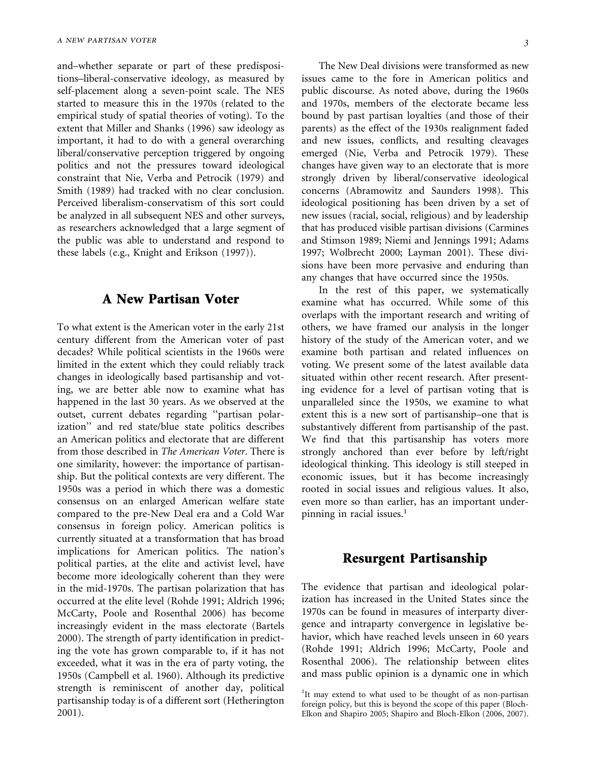and–whether separate or part of these predispositions–liberal-conservative ideology, as measured by self-placement along a seven-point scale. The NES started to measure this in the 1970s (related to the empirical study of spatial theories of voting). To the extent that Miller and Shanks (1996) saw ideology as important, it had to do with a general overarching liberal/conservative perception triggered by ongoing politics and not the pressures toward ideological constraint that Nie, Verba and Petrocik (1979) and Smith (1989) had tracked with no clear conclusion. Perceived liberalism-conservatism of this sort could be analyzed in all subsequent NES and other surveys, as researchers acknowledged that a large segment of the public was able to understand and respond to these labels (e.g., Knight and Erikson (1997)).

## A New Partisan Voter

To what extent is the American voter in the early 21st century different from the American voter of past decades? While political scientists in the 1960s were limited in the extent which they could reliably track changes in ideologically based partisanship and voting, we are better able now to examine what has happened in the last 30 years. As we observed at the outset, current debates regarding ''partisan polarization'' and red state/blue state politics describes an American politics and electorate that are different from those described in The American Voter. There is one similarity, however: the importance of partisanship. But the political contexts are very different. The 1950s was a period in which there was a domestic consensus on an enlarged American welfare state compared to the pre-New Deal era and a Cold War consensus in foreign policy. American politics is currently situated at a transformation that has broad implications for American politics. The nation's political parties, at the elite and activist level, have become more ideologically coherent than they were in the mid-1970s. The partisan polarization that has occurred at the elite level (Rohde 1991; Aldrich 1996; McCarty, Poole and Rosenthal 2006) has become increasingly evident in the mass electorate (Bartels 2000). The strength of party identification in predicting the vote has grown comparable to, if it has not exceeded, what it was in the era of party voting, the 1950s (Campbell et al. 1960). Although its predictive strength is reminiscent of another day, political partisanship today is of a different sort (Hetherington 2001).

The New Deal divisions were transformed as new issues came to the fore in American politics and public discourse. As noted above, during the 1960s and 1970s, members of the electorate became less bound by past partisan loyalties (and those of their parents) as the effect of the 1930s realignment faded and new issues, conflicts, and resulting cleavages emerged (Nie, Verba and Petrocik 1979). These changes have given way to an electorate that is more strongly driven by liberal/conservative ideological concerns (Abramowitz and Saunders 1998). This ideological positioning has been driven by a set of new issues (racial, social, religious) and by leadership that has produced visible partisan divisions (Carmines and Stimson 1989; Niemi and Jennings 1991; Adams 1997; Wolbrecht 2000; Layman 2001). These divisions have been more pervasive and enduring than any changes that have occurred since the 1950s.

In the rest of this paper, we systematically examine what has occurred. While some of this overlaps with the important research and writing of others, we have framed our analysis in the longer history of the study of the American voter, and we examine both partisan and related influences on voting. We present some of the latest available data situated within other recent research. After presenting evidence for a level of partisan voting that is unparalleled since the 1950s, we examine to what extent this is a new sort of partisanship–one that is substantively different from partisanship of the past. We find that this partisanship has voters more strongly anchored than ever before by left/right ideological thinking. This ideology is still steeped in economic issues, but it has become increasingly rooted in social issues and religious values. It also, even more so than earlier, has an important underpinning in racial issues. $<sup>1</sup>$ </sup>

# Resurgent Partisanship

The evidence that partisan and ideological polarization has increased in the United States since the 1970s can be found in measures of interparty divergence and intraparty convergence in legislative behavior, which have reached levels unseen in 60 years (Rohde 1991; Aldrich 1996; McCarty, Poole and Rosenthal 2006). The relationship between elites and mass public opinion is a dynamic one in which

<sup>&</sup>lt;sup>1</sup>It may extend to what used to be thought of as non-partisan foreign policy, but this is beyond the scope of this paper (Bloch-Elkon and Shapiro 2005; Shapiro and Bloch-Elkon (2006, 2007).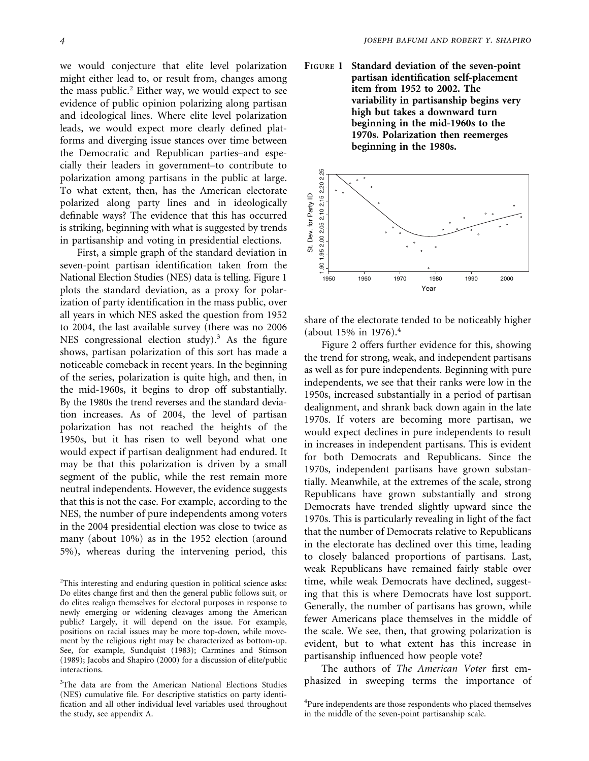we would conjecture that elite level polarization might either lead to, or result from, changes among the mass public.<sup>2</sup> Either way, we would expect to see evidence of public opinion polarizing along partisan and ideological lines. Where elite level polarization leads, we would expect more clearly defined platforms and diverging issue stances over time between the Democratic and Republican parties–and especially their leaders in government–to contribute to polarization among partisans in the public at large. To what extent, then, has the American electorate polarized along party lines and in ideologically definable ways? The evidence that this has occurred is striking, beginning with what is suggested by trends in partisanship and voting in presidential elections.

First, a simple graph of the standard deviation in seven-point partisan identification taken from the National Election Studies (NES) data is telling. Figure 1 plots the standard deviation, as a proxy for polarization of party identification in the mass public, over all years in which NES asked the question from 1952 to 2004, the last available survey (there was no 2006 NES congressional election study).<sup>3</sup> As the figure shows, partisan polarization of this sort has made a noticeable comeback in recent years. In the beginning of the series, polarization is quite high, and then, in the mid-1960s, it begins to drop off substantially. By the 1980s the trend reverses and the standard deviation increases. As of 2004, the level of partisan polarization has not reached the heights of the 1950s, but it has risen to well beyond what one would expect if partisan dealignment had endured. It may be that this polarization is driven by a small segment of the public, while the rest remain more neutral independents. However, the evidence suggests that this is not the case. For example, according to the NES, the number of pure independents among voters in the 2004 presidential election was close to twice as many (about 10%) as in the 1952 election (around 5%), whereas during the intervening period, this FIGURE 1 Standard deviation of the seven-point partisan identification self-placement item from 1952 to 2002. The variability in partisanship begins very high but takes a downward turn beginning in the mid-1960s to the 1970s. Polarization then reemerges beginning in the 1980s.



share of the electorate tended to be noticeably higher (about 15% in 1976).4

Figure 2 offers further evidence for this, showing the trend for strong, weak, and independent partisans as well as for pure independents. Beginning with pure independents, we see that their ranks were low in the 1950s, increased substantially in a period of partisan dealignment, and shrank back down again in the late 1970s. If voters are becoming more partisan, we would expect declines in pure independents to result in increases in independent partisans. This is evident for both Democrats and Republicans. Since the 1970s, independent partisans have grown substantially. Meanwhile, at the extremes of the scale, strong Republicans have grown substantially and strong Democrats have trended slightly upward since the 1970s. This is particularly revealing in light of the fact that the number of Democrats relative to Republicans in the electorate has declined over this time, leading to closely balanced proportions of partisans. Last, weak Republicans have remained fairly stable over time, while weak Democrats have declined, suggesting that this is where Democrats have lost support. Generally, the number of partisans has grown, while fewer Americans place themselves in the middle of the scale. We see, then, that growing polarization is evident, but to what extent has this increase in partisanship influenced how people vote?

The authors of The American Voter first emphasized in sweeping terms the importance of

<sup>&</sup>lt;sup>2</sup>This interesting and enduring question in political science asks: Do elites change first and then the general public follows suit, or do elites realign themselves for electoral purposes in response to newly emerging or widening cleavages among the American public? Largely, it will depend on the issue. For example, positions on racial issues may be more top-down, while movement by the religious right may be characterized as bottom-up. See, for example, Sundquist (1983); Carmines and Stimson (1989); Jacobs and Shapiro (2000) for a discussion of elite/public interactions.

<sup>&</sup>lt;sup>3</sup>The data are from the American National Elections Studies (NES) cumulative file. For descriptive statistics on party identification and all other individual level variables used throughout the study, see appendix A.

<sup>&</sup>lt;sup>4</sup>Pure independents are those respondents who placed themselves in the middle of the seven-point partisanship scale.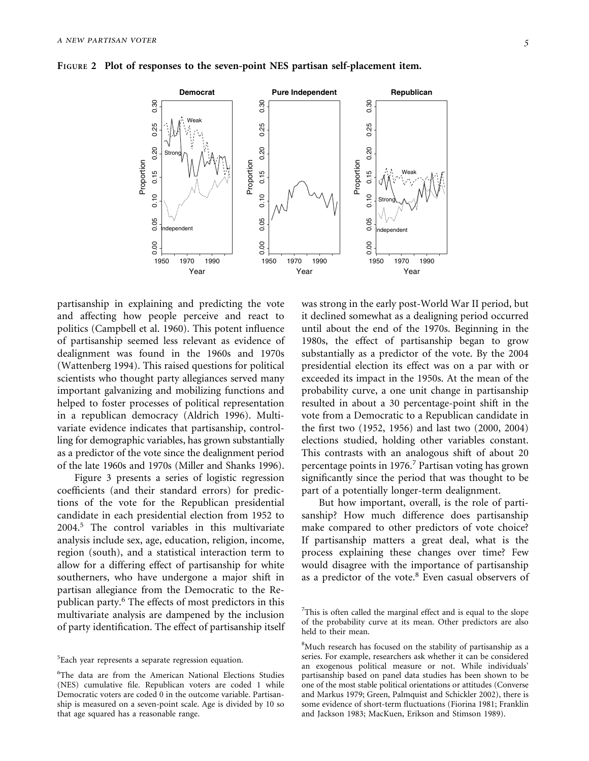

FIGURE 2 Plot of responses to the seven-point NES partisan self-placement item.

partisanship in explaining and predicting the vote and affecting how people perceive and react to politics (Campbell et al. 1960). This potent influence of partisanship seemed less relevant as evidence of dealignment was found in the 1960s and 1970s (Wattenberg 1994). This raised questions for political scientists who thought party allegiances served many important galvanizing and mobilizing functions and helped to foster processes of political representation in a republican democracy (Aldrich 1996). Multivariate evidence indicates that partisanship, controlling for demographic variables, has grown substantially as a predictor of the vote since the dealignment period of the late 1960s and 1970s (Miller and Shanks 1996).

Figure 3 presents a series of logistic regression coefficients (and their standard errors) for predictions of the vote for the Republican presidential candidate in each presidential election from 1952 to 2004.5 The control variables in this multivariate analysis include sex, age, education, religion, income, region (south), and a statistical interaction term to allow for a differing effect of partisanship for white southerners, who have undergone a major shift in partisan allegiance from the Democratic to the Republican party.<sup>6</sup> The effects of most predictors in this multivariate analysis are dampened by the inclusion of party identification. The effect of partisanship itself was strong in the early post-World War II period, but it declined somewhat as a dealigning period occurred until about the end of the 1970s. Beginning in the 1980s, the effect of partisanship began to grow substantially as a predictor of the vote. By the 2004 presidential election its effect was on a par with or exceeded its impact in the 1950s. At the mean of the probability curve, a one unit change in partisanship resulted in about a 30 percentage-point shift in the vote from a Democratic to a Republican candidate in the first two (1952, 1956) and last two (2000, 2004) elections studied, holding other variables constant. This contrasts with an analogous shift of about 20 percentage points in 1976.<sup>7</sup> Partisan voting has grown significantly since the period that was thought to be part of a potentially longer-term dealignment.

But how important, overall, is the role of partisanship? How much difference does partisanship make compared to other predictors of vote choice? If partisanship matters a great deal, what is the process explaining these changes over time? Few would disagree with the importance of partisanship as a predictor of the vote.<sup>8</sup> Even casual observers of

<sup>&</sup>lt;sup>5</sup>Each year represents a separate regression equation.

<sup>6</sup> The data are from the American National Elections Studies (NES) cumulative file. Republican voters are coded 1 while Democratic voters are coded 0 in the outcome variable. Partisanship is measured on a seven-point scale. Age is divided by 10 so that age squared has a reasonable range.

 $7$ This is often called the marginal effect and is equal to the slope of the probability curve at its mean. Other predictors are also held to their mean.

<sup>&</sup>lt;sup>8</sup>Much research has focused on the stability of partisanship as a series. For example, researchers ask whether it can be considered an exogenous political measure or not. While individuals' partisanship based on panel data studies has been shown to be one of the most stable political orientations or attitudes (Converse and Markus 1979; Green, Palmquist and Schickler 2002), there is some evidence of short-term fluctuations (Fiorina 1981; Franklin and Jackson 1983; MacKuen, Erikson and Stimson 1989).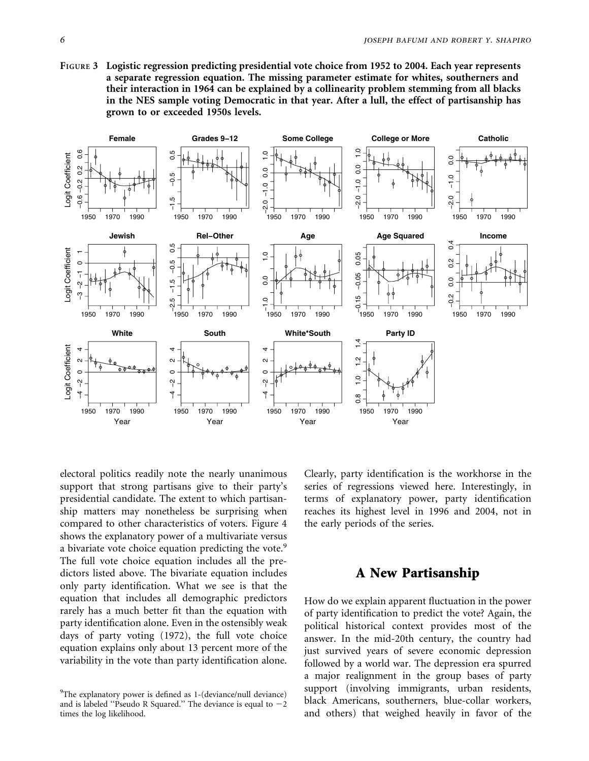FIGURE 3 Logistic regression predicting presidential vote choice from 1952 to 2004. Each year represents a separate regression equation. The missing parameter estimate for whites, southerners and their interaction in 1964 can be explained by a collinearity problem stemming from all blacks in the NES sample voting Democratic in that year. After a lull, the effect of partisanship has grown to or exceeded 1950s levels.



electoral politics readily note the nearly unanimous support that strong partisans give to their party's presidential candidate. The extent to which partisanship matters may nonetheless be surprising when compared to other characteristics of voters. Figure 4 shows the explanatory power of a multivariate versus a bivariate vote choice equation predicting the vote.<sup>9</sup> The full vote choice equation includes all the predictors listed above. The bivariate equation includes only party identification. What we see is that the equation that includes all demographic predictors rarely has a much better fit than the equation with party identification alone. Even in the ostensibly weak days of party voting (1972), the full vote choice equation explains only about 13 percent more of the variability in the vote than party identification alone. Clearly, party identification is the workhorse in the series of regressions viewed here. Interestingly, in terms of explanatory power, party identification reaches its highest level in 1996 and 2004, not in the early periods of the series.

## A New Partisanship

How do we explain apparent fluctuation in the power of party identification to predict the vote? Again, the political historical context provides most of the answer. In the mid-20th century, the country had just survived years of severe economic depression followed by a world war. The depression era spurred a major realignment in the group bases of party support (involving immigrants, urban residents, black Americans, southerners, blue-collar workers, and others) that weighed heavily in favor of the

<sup>&</sup>lt;sup>9</sup>The explanatory power is defined as 1-(deviance/null deviance) and is labeled "Pseudo R Squared." The deviance is equal to  $-2$ times the log likelihood.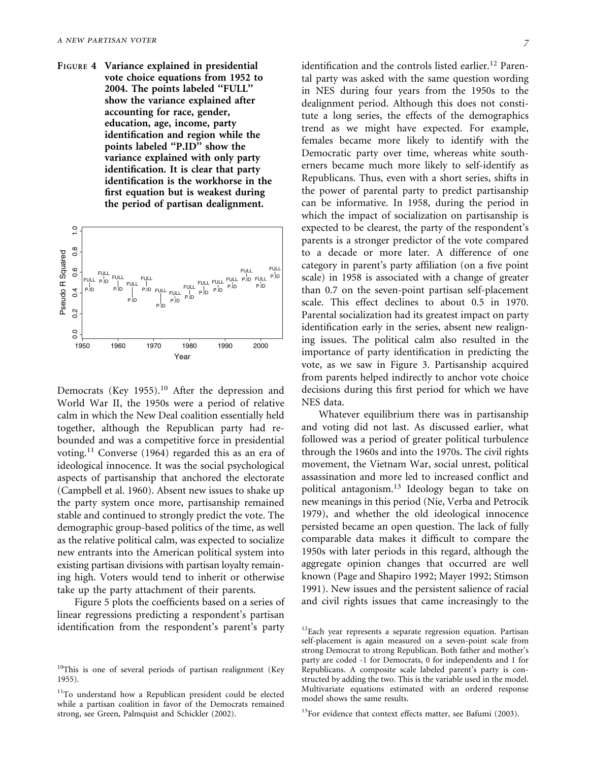FIGURE 4 Variance explained in presidential vote choice equations from 1952 to 2004. The points labeled ''FULL'' show the variance explained after accounting for race, gender, education, age, income, party identification and region while the points labeled "P.ID" show the variance explained with only party identification. It is clear that party identification is the workhorse in the first equation but is weakest during the period of partisan dealignment.



Democrats (Key 1955).<sup>10</sup> After the depression and World War II, the 1950s were a period of relative calm in which the New Deal coalition essentially held together, although the Republican party had rebounded and was a competitive force in presidential voting.<sup>11</sup> Converse (1964) regarded this as an era of ideological innocence. It was the social psychological aspects of partisanship that anchored the electorate (Campbell et al. 1960). Absent new issues to shake up the party system once more, partisanship remained stable and continued to strongly predict the vote. The demographic group-based politics of the time, as well as the relative political calm, was expected to socialize new entrants into the American political system into existing partisan divisions with partisan loyalty remaining high. Voters would tend to inherit or otherwise take up the party attachment of their parents.

Figure 5 plots the coefficients based on a series of linear regressions predicting a respondent's partisan identification from the respondent's parent's party

identification and the controls listed earlier.<sup>12</sup> Parental party was asked with the same question wording in NES during four years from the 1950s to the dealignment period. Although this does not constitute a long series, the effects of the demographics trend as we might have expected. For example, females became more likely to identify with the Democratic party over time, whereas white southerners became much more likely to self-identify as Republicans. Thus, even with a short series, shifts in the power of parental party to predict partisanship can be informative. In 1958, during the period in which the impact of socialization on partisanship is expected to be clearest, the party of the respondent's parents is a stronger predictor of the vote compared to a decade or more later. A difference of one category in parent's party affiliation (on a five point scale) in 1958 is associated with a change of greater than 0.7 on the seven-point partisan self-placement scale. This effect declines to about 0.5 in 1970. Parental socialization had its greatest impact on party identification early in the series, absent new realigning issues. The political calm also resulted in the importance of party identification in predicting the vote, as we saw in Figure 3. Partisanship acquired from parents helped indirectly to anchor vote choice decisions during this first period for which we have NES data.

Whatever equilibrium there was in partisanship and voting did not last. As discussed earlier, what followed was a period of greater political turbulence through the 1960s and into the 1970s. The civil rights movement, the Vietnam War, social unrest, political assassination and more led to increased conflict and political antagonism.<sup>13</sup> Ideology began to take on new meanings in this period (Nie, Verba and Petrocik 1979), and whether the old ideological innocence persisted became an open question. The lack of fully comparable data makes it difficult to compare the 1950s with later periods in this regard, although the aggregate opinion changes that occurred are well known (Page and Shapiro 1992; Mayer 1992; Stimson 1991). New issues and the persistent salience of racial and civil rights issues that came increasingly to the

<sup>&</sup>lt;sup>10</sup>This is one of several periods of partisan realignment (Key 1955).

<sup>&</sup>lt;sup>11</sup>To understand how a Republican president could be elected while a partisan coalition in favor of the Democrats remained strong, see Green, Palmquist and Schickler (2002).

 $12$ Each year represents a separate regression equation. Partisan self-placement is again measured on a seven-point scale from strong Democrat to strong Republican. Both father and mother's party are coded -1 for Democrats, 0 for independents and 1 for Republicans. A composite scale labeled parent's party is constructed by adding the two. This is the variable used in the model. Multivariate equations estimated with an ordered response model shows the same results.

 $13$ For evidence that context effects matter, see Bafumi (2003).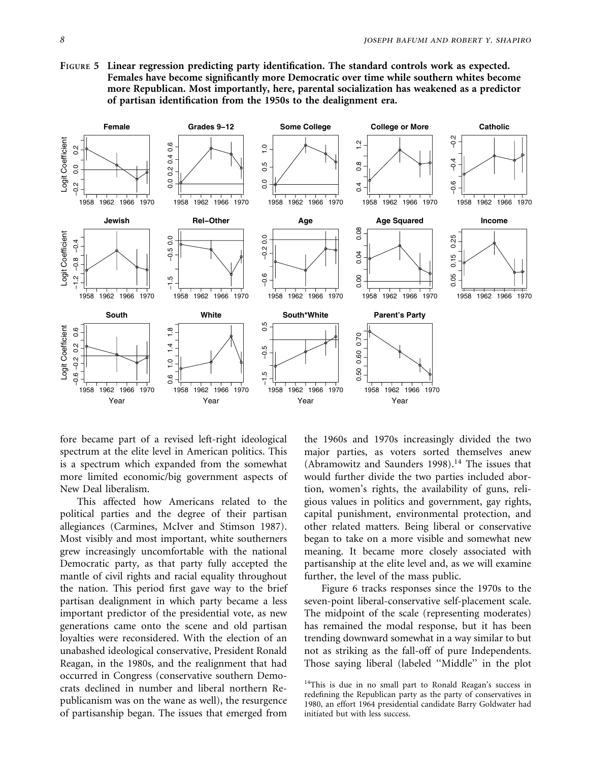FIGURE 5 Linear regression predicting party identification. The standard controls work as expected. Females have become significantly more Democratic over time while southern whites become more Republican. Most importantly, here, parental socialization has weakened as a predictor of partisan identification from the 1950s to the dealignment era.



fore became part of a revised left-right ideological spectrum at the elite level in American politics. This is a spectrum which expanded from the somewhat more limited economic/big government aspects of New Deal liberalism.

This affected how Americans related to the political parties and the degree of their partisan allegiances (Carmines, McIver and Stimson 1987). Most visibly and most important, white southerners grew increasingly uncomfortable with the national Democratic party, as that party fully accepted the mantle of civil rights and racial equality throughout the nation. This period first gave way to the brief partisan dealignment in which party became a less important predictor of the presidential vote, as new generations came onto the scene and old partisan loyalties were reconsidered. With the election of an unabashed ideological conservative, President Ronald Reagan, in the 1980s, and the realignment that had occurred in Congress (conservative southern Democrats declined in number and liberal northern Republicanism was on the wane as well), the resurgence of partisanship began. The issues that emerged from the 1960s and 1970s increasingly divided the two major parties, as voters sorted themselves anew (Abramowitz and Saunders 1998).<sup>14</sup> The issues that would further divide the two parties included abortion, women's rights, the availability of guns, religious values in politics and government, gay rights, capital punishment, environmental protection, and other related matters. Being liberal or conservative began to take on a more visible and somewhat new meaning. It became more closely associated with partisanship at the elite level and, as we will examine further, the level of the mass public.

Figure 6 tracks responses since the 1970s to the seven-point liberal-conservative self-placement scale. The midpoint of the scale (representing moderates) has remained the modal response, but it has been trending downward somewhat in a way similar to but not as striking as the fall-off of pure Independents. Those saying liberal (labeled ''Middle'' in the plot

<sup>&</sup>lt;sup>14</sup>This is due in no small part to Ronald Reagan's success in redefining the Republican party as the party of conservatives in 1980, an effort 1964 presidential candidate Barry Goldwater had initiated but with less success.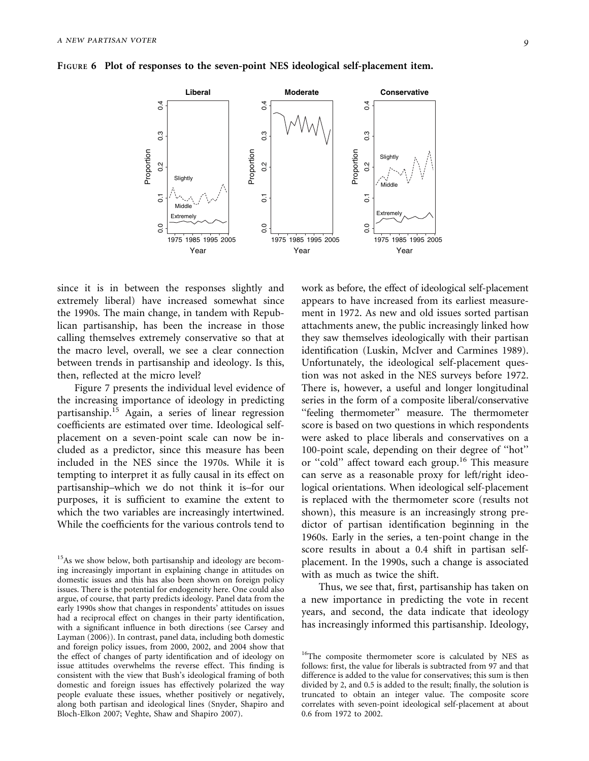



since it is in between the responses slightly and extremely liberal) have increased somewhat since the 1990s. The main change, in tandem with Republican partisanship, has been the increase in those calling themselves extremely conservative so that at the macro level, overall, we see a clear connection between trends in partisanship and ideology. Is this, then, reflected at the micro level?

Figure 7 presents the individual level evidence of the increasing importance of ideology in predicting partisanship.15 Again, a series of linear regression coefficients are estimated over time. Ideological selfplacement on a seven-point scale can now be included as a predictor, since this measure has been included in the NES since the 1970s. While it is tempting to interpret it as fully causal in its effect on partisanship–which we do not think it is–for our purposes, it is sufficient to examine the extent to which the two variables are increasingly intertwined. While the coefficients for the various controls tend to work as before, the effect of ideological self-placement appears to have increased from its earliest measurement in 1972. As new and old issues sorted partisan attachments anew, the public increasingly linked how they saw themselves ideologically with their partisan identification (Luskin, McIver and Carmines 1989). Unfortunately, the ideological self-placement question was not asked in the NES surveys before 1972. There is, however, a useful and longer longitudinal series in the form of a composite liberal/conservative "feeling thermometer" measure. The thermometer score is based on two questions in which respondents were asked to place liberals and conservatives on a 100-point scale, depending on their degree of ''hot'' or "cold" affect toward each group.<sup>16</sup> This measure can serve as a reasonable proxy for left/right ideological orientations. When ideological self-placement is replaced with the thermometer score (results not shown), this measure is an increasingly strong predictor of partisan identification beginning in the 1960s. Early in the series, a ten-point change in the score results in about a 0.4 shift in partisan selfplacement. In the 1990s, such a change is associated with as much as twice the shift.

Thus, we see that, first, partisanship has taken on a new importance in predicting the vote in recent years, and second, the data indicate that ideology has increasingly informed this partisanship. Ideology,

<sup>&</sup>lt;sup>15</sup>As we show below, both partisanship and ideology are becoming increasingly important in explaining change in attitudes on domestic issues and this has also been shown on foreign policy issues. There is the potential for endogeneity here. One could also argue, of course, that party predicts ideology. Panel data from the early 1990s show that changes in respondents' attitudes on issues had a reciprocal effect on changes in their party identification, with a significant influence in both directions (see Carsey and Layman (2006)). In contrast, panel data, including both domestic and foreign policy issues, from 2000, 2002, and 2004 show that the effect of changes of party identification and of ideology on issue attitudes overwhelms the reverse effect. This finding is consistent with the view that Bush's ideological framing of both domestic and foreign issues has effectively polarized the way people evaluate these issues, whether positively or negatively, along both partisan and ideological lines (Snyder, Shapiro and Bloch-Elkon 2007; Veghte, Shaw and Shapiro 2007).

<sup>&</sup>lt;sup>16</sup>The composite thermometer score is calculated by NES as follows: first, the value for liberals is subtracted from 97 and that difference is added to the value for conservatives; this sum is then divided by 2, and 0.5 is added to the result; finally, the solution is truncated to obtain an integer value. The composite score correlates with seven-point ideological self-placement at about 0.6 from 1972 to 2002.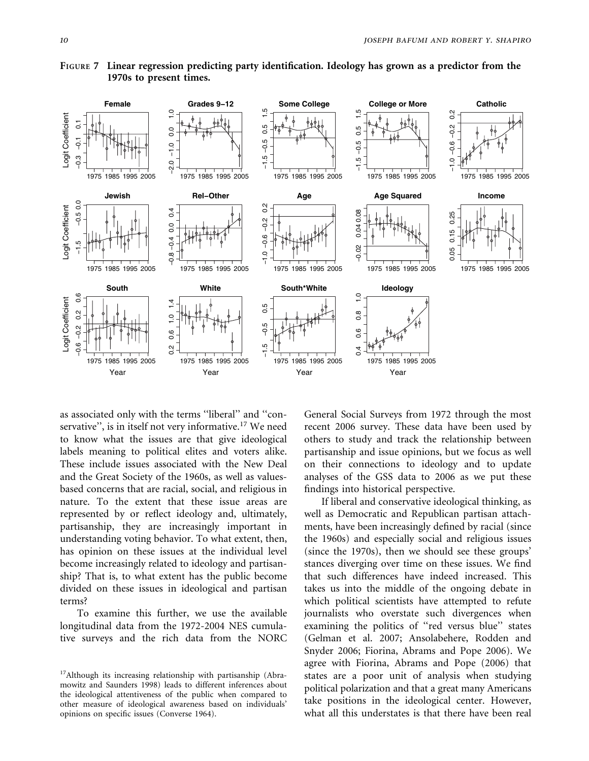



as associated only with the terms ''liberal'' and ''conservative", is in itself not very informative.<sup>17</sup> We need to know what the issues are that give ideological labels meaning to political elites and voters alike. These include issues associated with the New Deal and the Great Society of the 1960s, as well as valuesbased concerns that are racial, social, and religious in nature. To the extent that these issue areas are represented by or reflect ideology and, ultimately, partisanship, they are increasingly important in understanding voting behavior. To what extent, then, has opinion on these issues at the individual level become increasingly related to ideology and partisanship? That is, to what extent has the public become divided on these issues in ideological and partisan terms?

To examine this further, we use the available longitudinal data from the 1972-2004 NES cumulative surveys and the rich data from the NORC General Social Surveys from 1972 through the most recent 2006 survey. These data have been used by others to study and track the relationship between partisanship and issue opinions, but we focus as well on their connections to ideology and to update analyses of the GSS data to 2006 as we put these findings into historical perspective.

If liberal and conservative ideological thinking, as well as Democratic and Republican partisan attachments, have been increasingly defined by racial (since the 1960s) and especially social and religious issues (since the 1970s), then we should see these groups' stances diverging over time on these issues. We find that such differences have indeed increased. This takes us into the middle of the ongoing debate in which political scientists have attempted to refute journalists who overstate such divergences when examining the politics of ''red versus blue'' states (Gelman et al. 2007; Ansolabehere, Rodden and Snyder 2006; Fiorina, Abrams and Pope 2006). We agree with Fiorina, Abrams and Pope (2006) that states are a poor unit of analysis when studying political polarization and that a great many Americans take positions in the ideological center. However, what all this understates is that there have been real

<sup>&</sup>lt;sup>17</sup>Although its increasing relationship with partisanship (Abramowitz and Saunders 1998) leads to different inferences about the ideological attentiveness of the public when compared to other measure of ideological awareness based on individuals' opinions on specific issues (Converse 1964).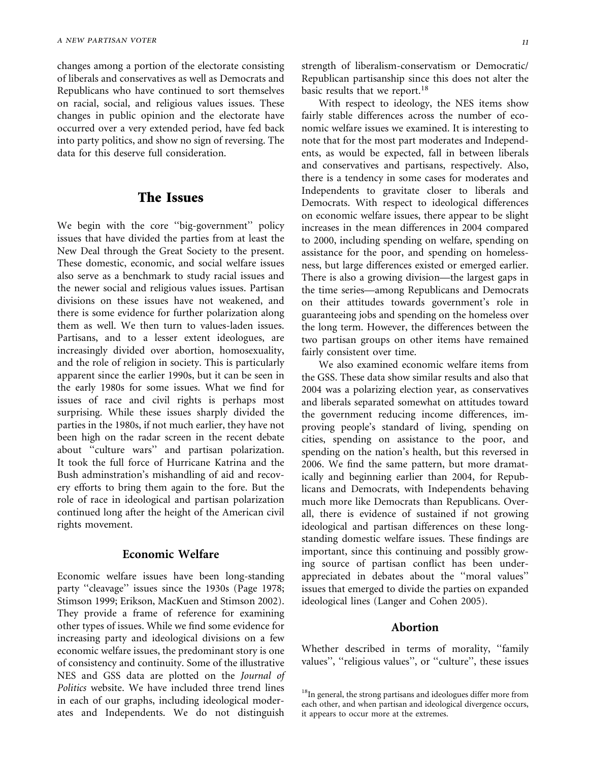changes among a portion of the electorate consisting of liberals and conservatives as well as Democrats and Republicans who have continued to sort themselves on racial, social, and religious values issues. These changes in public opinion and the electorate have occurred over a very extended period, have fed back into party politics, and show no sign of reversing. The data for this deserve full consideration.

## The Issues

We begin with the core ''big-government'' policy issues that have divided the parties from at least the New Deal through the Great Society to the present. These domestic, economic, and social welfare issues also serve as a benchmark to study racial issues and the newer social and religious values issues. Partisan divisions on these issues have not weakened, and there is some evidence for further polarization along them as well. We then turn to values-laden issues. Partisans, and to a lesser extent ideologues, are increasingly divided over abortion, homosexuality, and the role of religion in society. This is particularly apparent since the earlier 1990s, but it can be seen in the early 1980s for some issues. What we find for issues of race and civil rights is perhaps most surprising. While these issues sharply divided the parties in the 1980s, if not much earlier, they have not been high on the radar screen in the recent debate about ''culture wars'' and partisan polarization. It took the full force of Hurricane Katrina and the Bush adminstration's mishandling of aid and recovery efforts to bring them again to the fore. But the role of race in ideological and partisan polarization continued long after the height of the American civil rights movement.

## Economic Welfare

Economic welfare issues have been long-standing party "cleavage" issues since the 1930s (Page 1978; Stimson 1999; Erikson, MacKuen and Stimson 2002). They provide a frame of reference for examining other types of issues. While we find some evidence for increasing party and ideological divisions on a few economic welfare issues, the predominant story is one of consistency and continuity. Some of the illustrative NES and GSS data are plotted on the Journal of Politics website. We have included three trend lines in each of our graphs, including ideological moderates and Independents. We do not distinguish

strength of liberalism-conservatism or Democratic/ Republican partisanship since this does not alter the basic results that we report.<sup>18</sup>

With respect to ideology, the NES items show fairly stable differences across the number of economic welfare issues we examined. It is interesting to note that for the most part moderates and Independents, as would be expected, fall in between liberals and conservatives and partisans, respectively. Also, there is a tendency in some cases for moderates and Independents to gravitate closer to liberals and Democrats. With respect to ideological differences on economic welfare issues, there appear to be slight increases in the mean differences in 2004 compared to 2000, including spending on welfare, spending on assistance for the poor, and spending on homelessness, but large differences existed or emerged earlier. There is also a growing division—the largest gaps in the time series—among Republicans and Democrats on their attitudes towards government's role in guaranteeing jobs and spending on the homeless over the long term. However, the differences between the two partisan groups on other items have remained fairly consistent over time.

We also examined economic welfare items from the GSS. These data show similar results and also that 2004 was a polarizing election year, as conservatives and liberals separated somewhat on attitudes toward the government reducing income differences, improving people's standard of living, spending on cities, spending on assistance to the poor, and spending on the nation's health, but this reversed in 2006. We find the same pattern, but more dramatically and beginning earlier than 2004, for Republicans and Democrats, with Independents behaving much more like Democrats than Republicans. Overall, there is evidence of sustained if not growing ideological and partisan differences on these longstanding domestic welfare issues. These findings are important, since this continuing and possibly growing source of partisan conflict has been underappreciated in debates about the ''moral values'' issues that emerged to divide the parties on expanded ideological lines (Langer and Cohen 2005).

#### Abortion

Whether described in terms of morality, ''family values", "religious values", or "culture", these issues

<sup>&</sup>lt;sup>18</sup>In general, the strong partisans and ideologues differ more from each other, and when partisan and ideological divergence occurs, it appears to occur more at the extremes.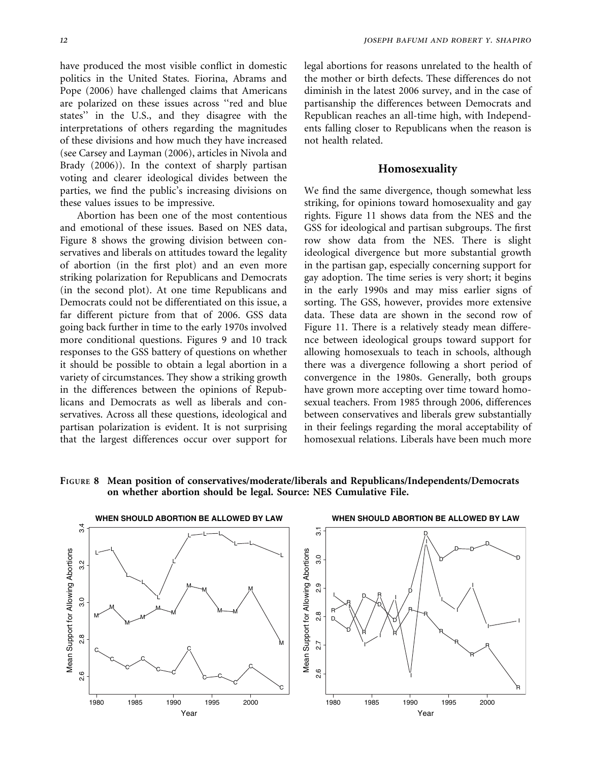have produced the most visible conflict in domestic politics in the United States. Fiorina, Abrams and Pope (2006) have challenged claims that Americans are polarized on these issues across ''red and blue states'' in the U.S., and they disagree with the interpretations of others regarding the magnitudes of these divisions and how much they have increased (see Carsey and Layman (2006), articles in Nivola and Brady (2006)). In the context of sharply partisan voting and clearer ideological divides between the parties, we find the public's increasing divisions on these values issues to be impressive.

Abortion has been one of the most contentious and emotional of these issues. Based on NES data, Figure 8 shows the growing division between conservatives and liberals on attitudes toward the legality of abortion (in the first plot) and an even more striking polarization for Republicans and Democrats (in the second plot). At one time Republicans and Democrats could not be differentiated on this issue, a far different picture from that of 2006. GSS data going back further in time to the early 1970s involved more conditional questions. Figures 9 and 10 track responses to the GSS battery of questions on whether it should be possible to obtain a legal abortion in a variety of circumstances. They show a striking growth in the differences between the opinions of Republicans and Democrats as well as liberals and conservatives. Across all these questions, ideological and partisan polarization is evident. It is not surprising that the largest differences occur over support for

legal abortions for reasons unrelated to the health of the mother or birth defects. These differences do not diminish in the latest 2006 survey, and in the case of partisanship the differences between Democrats and Republican reaches an all-time high, with Independents falling closer to Republicans when the reason is not health related.

## Homosexuality

We find the same divergence, though somewhat less striking, for opinions toward homosexuality and gay rights. Figure 11 shows data from the NES and the GSS for ideological and partisan subgroups. The first row show data from the NES. There is slight ideological divergence but more substantial growth in the partisan gap, especially concerning support for gay adoption. The time series is very short; it begins in the early 1990s and may miss earlier signs of sorting. The GSS, however, provides more extensive data. These data are shown in the second row of Figure 11. There is a relatively steady mean difference between ideological groups toward support for allowing homosexuals to teach in schools, although there was a divergence following a short period of convergence in the 1980s. Generally, both groups have grown more accepting over time toward homosexual teachers. From 1985 through 2006, differences between conservatives and liberals grew substantially in their feelings regarding the moral acceptability of homosexual relations. Liberals have been much more



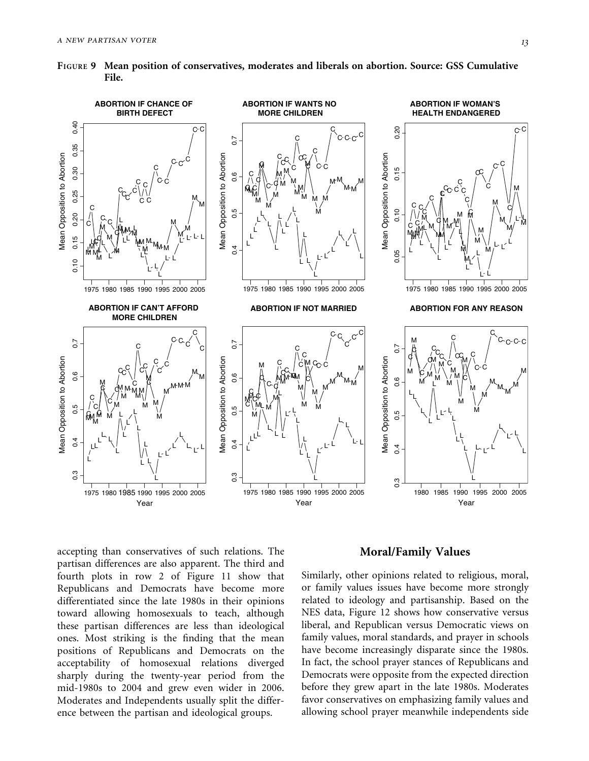



accepting than conservatives of such relations. The partisan differences are also apparent. The third and fourth plots in row 2 of Figure 11 show that Republicans and Democrats have become more differentiated since the late 1980s in their opinions toward allowing homosexuals to teach, although these partisan differences are less than ideological ones. Most striking is the finding that the mean positions of Republicans and Democrats on the acceptability of homosexual relations diverged sharply during the twenty-year period from the mid-1980s to 2004 and grew even wider in 2006. Moderates and Independents usually split the difference between the partisan and ideological groups.

#### Moral/Family Values

Similarly, other opinions related to religious, moral, or family values issues have become more strongly related to ideology and partisanship. Based on the NES data, Figure 12 shows how conservative versus liberal, and Republican versus Democratic views on family values, moral standards, and prayer in schools have become increasingly disparate since the 1980s. In fact, the school prayer stances of Republicans and Democrats were opposite from the expected direction before they grew apart in the late 1980s. Moderates favor conservatives on emphasizing family values and allowing school prayer meanwhile independents side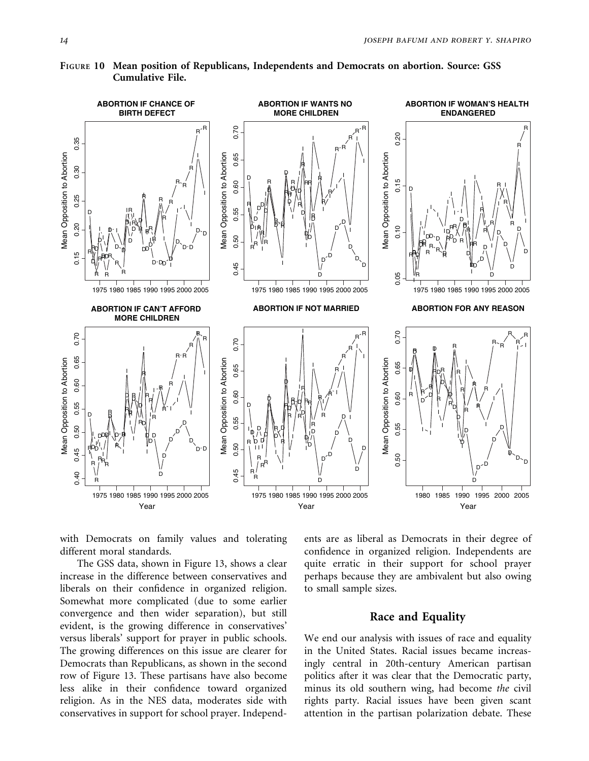



with Democrats on family values and tolerating different moral standards.

The GSS data, shown in Figure 13, shows a clear increase in the difference between conservatives and liberals on their confidence in organized religion. Somewhat more complicated (due to some earlier convergence and then wider separation), but still evident, is the growing difference in conservatives' versus liberals' support for prayer in public schools. The growing differences on this issue are clearer for Democrats than Republicans, as shown in the second row of Figure 13. These partisans have also become less alike in their confidence toward organized religion. As in the NES data, moderates side with conservatives in support for school prayer. Independents are as liberal as Democrats in their degree of confidence in organized religion. Independents are quite erratic in their support for school prayer perhaps because they are ambivalent but also owing to small sample sizes.

#### Race and Equality

We end our analysis with issues of race and equality in the United States. Racial issues became increasingly central in 20th-century American partisan politics after it was clear that the Democratic party, minus its old southern wing, had become the civil rights party. Racial issues have been given scant attention in the partisan polarization debate. These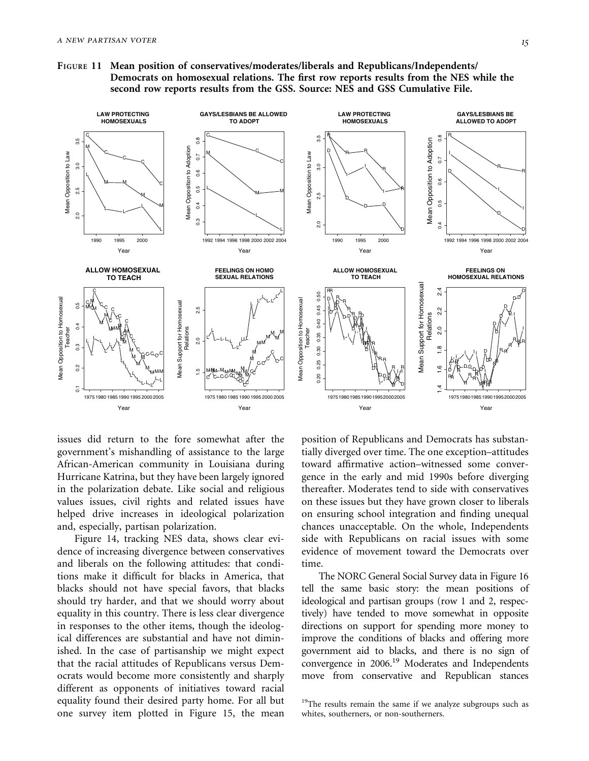



issues did return to the fore somewhat after the government's mishandling of assistance to the large African-American community in Louisiana during Hurricane Katrina, but they have been largely ignored in the polarization debate. Like social and religious values issues, civil rights and related issues have helped drive increases in ideological polarization and, especially, partisan polarization.

Figure 14, tracking NES data, shows clear evidence of increasing divergence between conservatives and liberals on the following attitudes: that conditions make it difficult for blacks in America, that blacks should not have special favors, that blacks should try harder, and that we should worry about equality in this country. There is less clear divergence in responses to the other items, though the ideological differences are substantial and have not diminished. In the case of partisanship we might expect that the racial attitudes of Republicans versus Democrats would become more consistently and sharply different as opponents of initiatives toward racial equality found their desired party home. For all but one survey item plotted in Figure 15, the mean

position of Republicans and Democrats has substantially diverged over time. The one exception–attitudes toward affirmative action–witnessed some convergence in the early and mid 1990s before diverging thereafter. Moderates tend to side with conservatives on these issues but they have grown closer to liberals on ensuring school integration and finding unequal chances unacceptable. On the whole, Independents side with Republicans on racial issues with some evidence of movement toward the Democrats over time.

The NORC General Social Survey data in Figure 16 tell the same basic story: the mean positions of ideological and partisan groups (row 1 and 2, respectively) have tended to move somewhat in opposite directions on support for spending more money to improve the conditions of blacks and offering more government aid to blacks, and there is no sign of convergence in 2006.19 Moderates and Independents move from conservative and Republican stances

<sup>&</sup>lt;sup>19</sup>The results remain the same if we analyze subgroups such as whites, southerners, or non-southerners.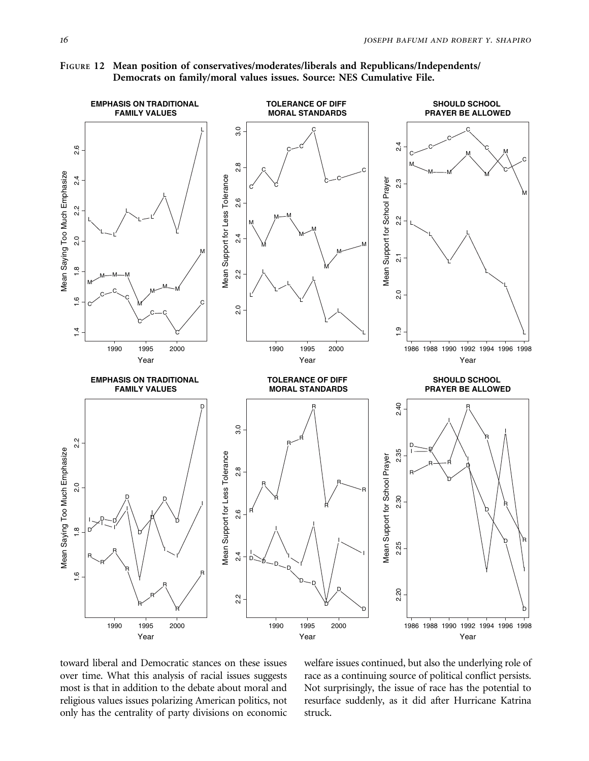

FIGURE 12 Mean position of conservatives/moderates/liberals and Republicans/Independents/ Democrats on family/moral values issues. Source: NES Cumulative File.

toward liberal and Democratic stances on these issues over time. What this analysis of racial issues suggests most is that in addition to the debate about moral and religious values issues polarizing American politics, not only has the centrality of party divisions on economic

welfare issues continued, but also the underlying role of race as a continuing source of political conflict persists. Not surprisingly, the issue of race has the potential to resurface suddenly, as it did after Hurricane Katrina struck.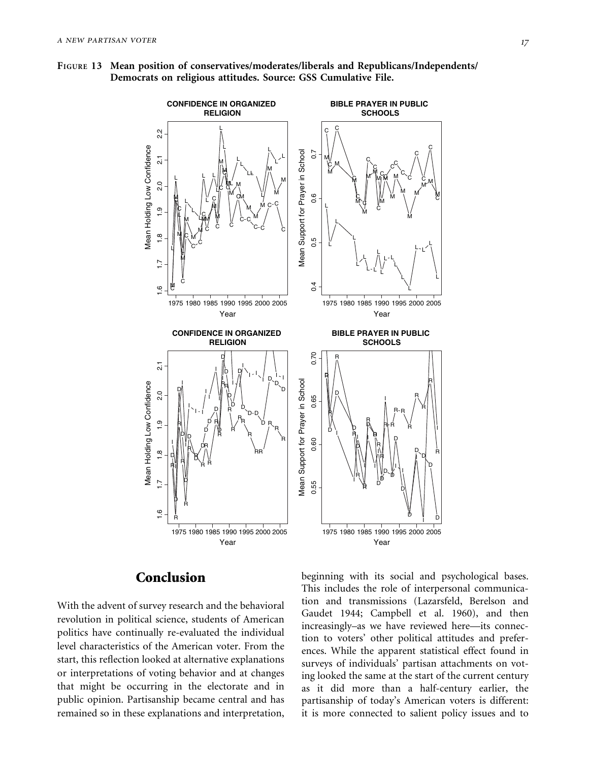



## Conclusion

With the advent of survey research and the behavioral revolution in political science, students of American politics have continually re-evaluated the individual level characteristics of the American voter. From the start, this reflection looked at alternative explanations or interpretations of voting behavior and at changes that might be occurring in the electorate and in public opinion. Partisanship became central and has remained so in these explanations and interpretation, beginning with its social and psychological bases. This includes the role of interpersonal communication and transmissions (Lazarsfeld, Berelson and Gaudet 1944; Campbell et al. 1960), and then increasingly–as we have reviewed here—its connection to voters' other political attitudes and preferences. While the apparent statistical effect found in surveys of individuals' partisan attachments on voting looked the same at the start of the current century as it did more than a half-century earlier, the partisanship of today's American voters is different: it is more connected to salient policy issues and to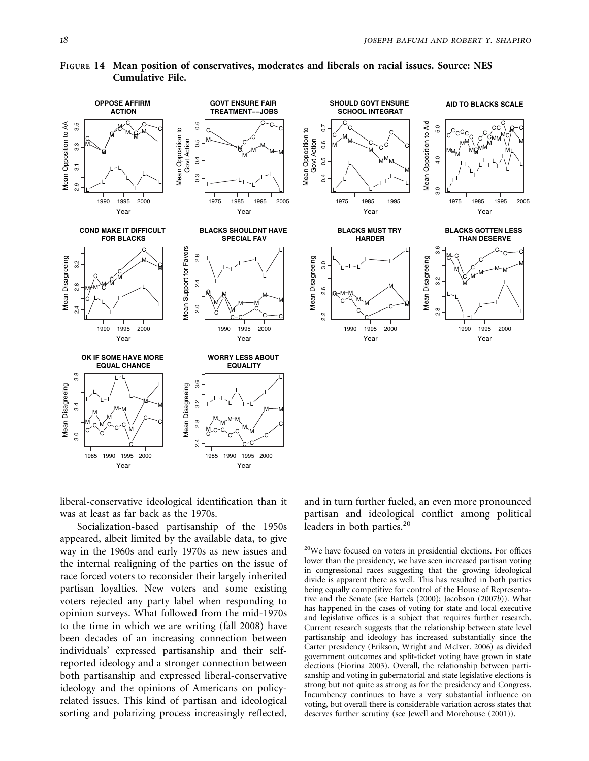

#### FIGURE 14 Mean position of conservatives, moderates and liberals on racial issues. Source: NES Cumulative File.

liberal-conservative ideological identification than it was at least as far back as the 1970s.

Socialization-based partisanship of the 1950s appeared, albeit limited by the available data, to give way in the 1960s and early 1970s as new issues and the internal realigning of the parties on the issue of race forced voters to reconsider their largely inherited partisan loyalties. New voters and some existing voters rejected any party label when responding to opinion surveys. What followed from the mid-1970s to the time in which we are writing (fall 2008) have been decades of an increasing connection between individuals' expressed partisanship and their selfreported ideology and a stronger connection between both partisanship and expressed liberal-conservative ideology and the opinions of Americans on policyrelated issues. This kind of partisan and ideological sorting and polarizing process increasingly reflected, and in turn further fueled, an even more pronounced partisan and ideological conflict among political leaders in both parties.<sup>20</sup>

20We have focused on voters in presidential elections. For offices lower than the presidency, we have seen increased partisan voting in congressional races suggesting that the growing ideological divide is apparent there as well. This has resulted in both parties being equally competitive for control of the House of Representative and the Senate (see Bartels (2000); Jacobson (2007b)). What has happened in the cases of voting for state and local executive and legislative offices is a subject that requires further research. Current research suggests that the relationship between state level partisanship and ideology has increased substantially since the Carter presidency (Erikson, Wright and McIver. 2006) as divided government outcomes and split-ticket voting have grown in state elections (Fiorina 2003). Overall, the relationship between partisanship and voting in gubernatorial and state legislative elections is strong but not quite as strong as for the presidency and Congress. Incumbency continues to have a very substantial influence on voting, but overall there is considerable variation across states that deserves further scrutiny (see Jewell and Morehouse (2001)).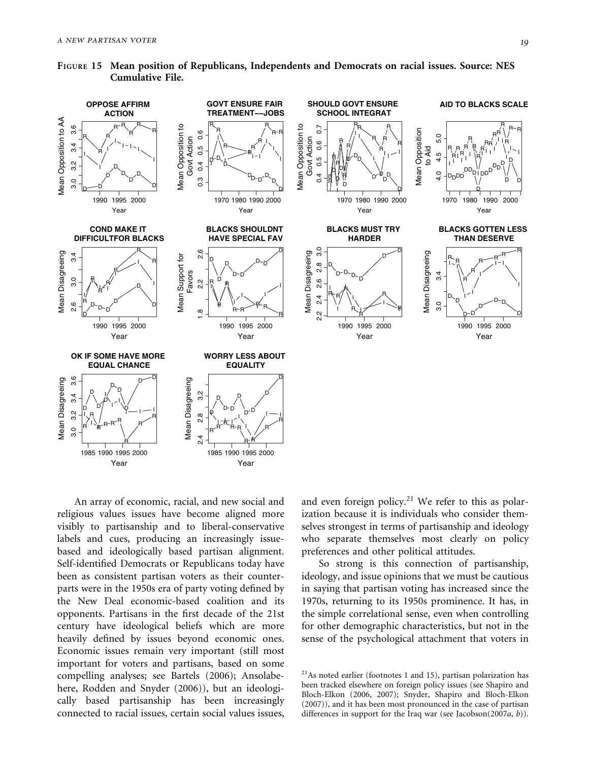Cumulative File.





An array of economic, racial, and new social and religious values issues have become aligned more visibly to partisanship and to liberal-conservative labels and cues, producing an increasingly issuebased and ideologically based partisan alignment. Self-identified Democrats or Republicans today have been as consistent partisan voters as their counterparts were in the 1950s era of party voting defined by the New Deal economic-based coalition and its opponents. Partisans in the first decade of the 21st century have ideological beliefs which are more heavily defined by issues beyond economic ones. Economic issues remain very important (still most important for voters and partisans, based on some compelling analyses; see Bartels (2006); Ansolabehere, Rodden and Snyder (2006)), but an ideologically based partisanship has been increasingly connected to racial issues, certain social values issues,

and even foreign policy.<sup>21</sup> We refer to this as polarization because it is individuals who consider themselves strongest in terms of partisanship and ideology who separate themselves most clearly on policy preferences and other political attitudes.

So strong is this connection of partisanship, ideology, and issue opinions that we must be cautious in saying that partisan voting has increased since the 1970s, returning to its 1950s prominence. It has, in the simple correlational sense, even when controlling for other demographic characteristics, but not in the sense of the psychological attachment that voters in

 $21$ As noted earlier (footnotes 1 and 15), partisan polarization has been tracked elsewhere on foreign policy issues (see Shapiro and Bloch-Elkon (2006, 2007); Snyder, Shapiro and Bloch-Elkon (2007)), and it has been most pronounced in the case of partisan differences in support for the Iraq war (see Jacobson(2007a,  $b$ )).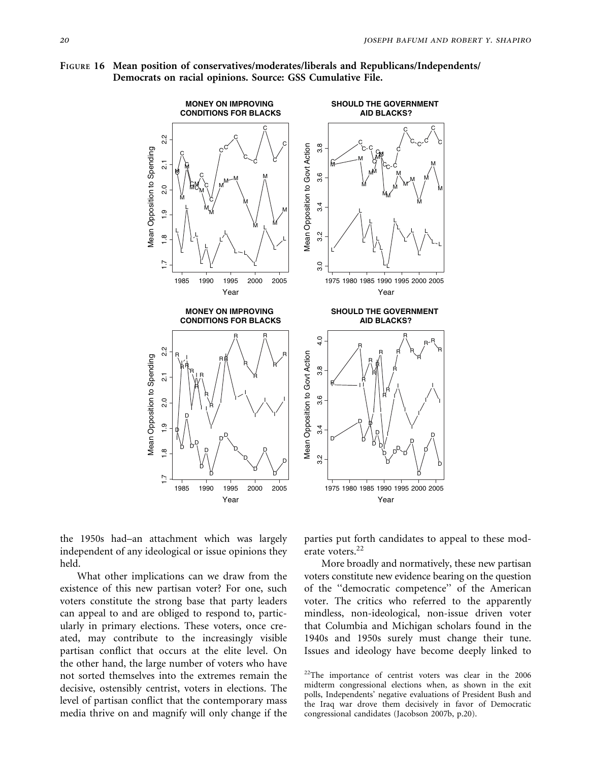

FIGURE 16 Mean position of conservatives/moderates/liberals and Republicans/Independents/ Democrats on racial opinions. Source: GSS Cumulative File.

the 1950s had–an attachment which was largely independent of any ideological or issue opinions they held.

What other implications can we draw from the existence of this new partisan voter? For one, such voters constitute the strong base that party leaders can appeal to and are obliged to respond to, particularly in primary elections. These voters, once created, may contribute to the increasingly visible partisan conflict that occurs at the elite level. On the other hand, the large number of voters who have not sorted themselves into the extremes remain the decisive, ostensibly centrist, voters in elections. The level of partisan conflict that the contemporary mass media thrive on and magnify will only change if the parties put forth candidates to appeal to these moderate voters.<sup>22</sup>

More broadly and normatively, these new partisan voters constitute new evidence bearing on the question of the ''democratic competence'' of the American voter. The critics who referred to the apparently mindless, non-ideological, non-issue driven voter that Columbia and Michigan scholars found in the 1940s and 1950s surely must change their tune. Issues and ideology have become deeply linked to

 $22$ The importance of centrist voters was clear in the 2006 midterm congressional elections when, as shown in the exit polls, Independents' negative evaluations of President Bush and the Iraq war drove them decisively in favor of Democratic congressional candidates (Jacobson 2007b, p.20).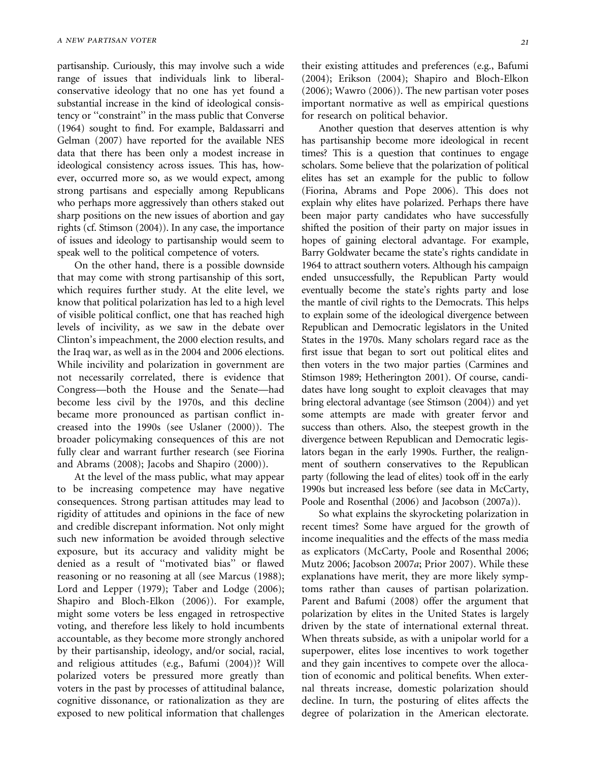partisanship. Curiously, this may involve such a wide range of issues that individuals link to liberalconservative ideology that no one has yet found a substantial increase in the kind of ideological consistency or ''constraint'' in the mass public that Converse (1964) sought to find. For example, Baldassarri and Gelman (2007) have reported for the available NES data that there has been only a modest increase in ideological consistency across issues. This has, however, occurred more so, as we would expect, among strong partisans and especially among Republicans who perhaps more aggressively than others staked out sharp positions on the new issues of abortion and gay rights (cf. Stimson (2004)). In any case, the importance of issues and ideology to partisanship would seem to speak well to the political competence of voters.

On the other hand, there is a possible downside that may come with strong partisanship of this sort, which requires further study. At the elite level, we know that political polarization has led to a high level of visible political conflict, one that has reached high levels of incivility, as we saw in the debate over Clinton's impeachment, the 2000 election results, and the Iraq war, as well as in the 2004 and 2006 elections. While incivility and polarization in government are not necessarily correlated, there is evidence that Congress—both the House and the Senate—had become less civil by the 1970s, and this decline became more pronounced as partisan conflict increased into the 1990s (see Uslaner (2000)). The broader policymaking consequences of this are not fully clear and warrant further research (see Fiorina and Abrams (2008); Jacobs and Shapiro (2000)).

At the level of the mass public, what may appear to be increasing competence may have negative consequences. Strong partisan attitudes may lead to rigidity of attitudes and opinions in the face of new and credible discrepant information. Not only might such new information be avoided through selective exposure, but its accuracy and validity might be denied as a result of ''motivated bias'' or flawed reasoning or no reasoning at all (see Marcus (1988); Lord and Lepper (1979); Taber and Lodge (2006); Shapiro and Bloch-Elkon (2006)). For example, might some voters be less engaged in retrospective voting, and therefore less likely to hold incumbents accountable, as they become more strongly anchored by their partisanship, ideology, and/or social, racial, and religious attitudes (e.g., Bafumi (2004))? Will polarized voters be pressured more greatly than voters in the past by processes of attitudinal balance, cognitive dissonance, or rationalization as they are exposed to new political information that challenges

their existing attitudes and preferences (e.g., Bafumi (2004); Erikson (2004); Shapiro and Bloch-Elkon (2006); Wawro (2006)). The new partisan voter poses important normative as well as empirical questions for research on political behavior.

Another question that deserves attention is why has partisanship become more ideological in recent times? This is a question that continues to engage scholars. Some believe that the polarization of political elites has set an example for the public to follow (Fiorina, Abrams and Pope 2006). This does not explain why elites have polarized. Perhaps there have been major party candidates who have successfully shifted the position of their party on major issues in hopes of gaining electoral advantage. For example, Barry Goldwater became the state's rights candidate in 1964 to attract southern voters. Although his campaign ended unsuccessfully, the Republican Party would eventually become the state's rights party and lose the mantle of civil rights to the Democrats. This helps to explain some of the ideological divergence between Republican and Democratic legislators in the United States in the 1970s. Many scholars regard race as the first issue that began to sort out political elites and then voters in the two major parties (Carmines and Stimson 1989; Hetherington 2001). Of course, candidates have long sought to exploit cleavages that may bring electoral advantage (see Stimson (2004)) and yet some attempts are made with greater fervor and success than others. Also, the steepest growth in the divergence between Republican and Democratic legislators began in the early 1990s. Further, the realignment of southern conservatives to the Republican party (following the lead of elites) took off in the early 1990s but increased less before (see data in McCarty, Poole and Rosenthal (2006) and Jacobson (2007a)).

So what explains the skyrocketing polarization in recent times? Some have argued for the growth of income inequalities and the effects of the mass media as explicators (McCarty, Poole and Rosenthal 2006; Mutz 2006; Jacobson 2007a; Prior 2007). While these explanations have merit, they are more likely symptoms rather than causes of partisan polarization. Parent and Bafumi (2008) offer the argument that polarization by elites in the United States is largely driven by the state of international external threat. When threats subside, as with a unipolar world for a superpower, elites lose incentives to work together and they gain incentives to compete over the allocation of economic and political benefits. When external threats increase, domestic polarization should decline. In turn, the posturing of elites affects the degree of polarization in the American electorate.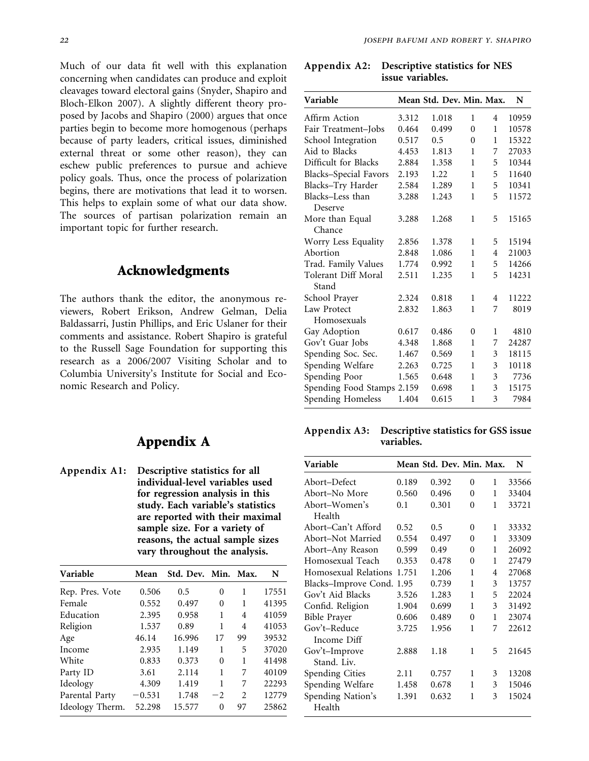Much of our data fit well with this explanation concerning when candidates can produce and exploit cleavages toward electoral gains (Snyder, Shapiro and Bloch-Elkon 2007). A slightly different theory proposed by Jacobs and Shapiro (2000) argues that once parties begin to become more homogenous (perhaps because of party leaders, critical issues, diminished external threat or some other reason), they can eschew public preferences to pursue and achieve policy goals. Thus, once the process of polarization begins, there are motivations that lead it to worsen. This helps to explain some of what our data show. The sources of partisan polarization remain an important topic for further research.

# Acknowledgments

The authors thank the editor, the anonymous reviewers, Robert Erikson, Andrew Gelman, Delia Baldassarri, Justin Phillips, and Eric Uslaner for their comments and assistance. Robert Shapiro is grateful to the Russell Sage Foundation for supporting this research as a 2006/2007 Visiting Scholar and to Columbia University's Institute for Social and Economic Research and Policy.

# Appendix A

Appendix A1: Descriptive statistics for all individual-level variables used for regression analysis in this study. Each variable's statistics are reported with their maximal sample size. For a variety of reasons, the actual sample sizes vary throughout the analysis.

| Variable        | Mean   | Std. Dev. Min. Max. |      |                             | N     |
|-----------------|--------|---------------------|------|-----------------------------|-------|
| Rep. Pres. Vote | 0.506  | 0.5                 | 0    | 1                           | 17551 |
| Female          | 0.552  | 0.497               | 0    | 1                           | 41395 |
| Education       | 2.395  | 0.958               | 1    | 4                           | 41059 |
| Religion        | 1.537  | 0.89                | 1    | 4                           | 41053 |
| Age             | 46.14  | 16.996              | 17   | 99                          | 39532 |
| Income          | 2.935  | 1.149               | 1    | 5                           | 37020 |
| White           | 0.833  | 0.373               | 0    | 1                           | 41498 |
| Party ID        | 3.61   | 2.114               | 1    | 7                           | 40109 |
| Ideology        | 4.309  | 1.419               | 1    | 7                           | 22293 |
| Parental Party  | 0.531  | 1.748               | $-2$ | $\mathcal{D}_{\mathcal{L}}$ | 12779 |
| Ideology Therm. | 52.298 | 15.577              | 0    | 97                          | 25862 |

| Appendix A2: Descriptive statistics for NES |
|---------------------------------------------|
| issue variables.                            |

| Variable                     |       | Mean Std. Dev. Min. Max. |              |   | N     |
|------------------------------|-------|--------------------------|--------------|---|-------|
| Affirm Action                | 3.312 | 1.018                    | 1            | 4 | 10959 |
| Fair Treatment-Jobs          | 0.464 | 0.499                    | $\Omega$     | 1 | 10578 |
| School Integration           | 0.517 | 0.5                      | $\theta$     | 1 | 15322 |
| Aid to Blacks                | 4.453 | 1.813                    | 1            | 7 | 27033 |
| Difficult for Blacks         | 2.884 | 1.358                    | 1            | 5 | 10344 |
| <b>Blacks-Special Favors</b> | 2.193 | 1.22                     | 1            | 5 | 11640 |
| Blacks-Try Harder            | 2.584 | 1.289                    | 1            | 5 | 10341 |
| Blacks-Less than<br>Deserve  | 3.288 | 1.243                    | 1            | 5 | 11572 |
| More than Equal<br>Chance    | 3.288 | 1.268                    | 1            | 5 | 15165 |
| Worry Less Equality          | 2.856 | 1.378                    | 1            | 5 | 15194 |
| Abortion                     | 2.848 | 1.086                    | 1            | 4 | 21003 |
| Trad. Family Values          | 1.774 | 0.992                    | 1            | 5 | 14266 |
| Tolerant Diff Moral<br>Stand | 2.511 | 1.235                    | $\mathbf{1}$ | 5 | 14231 |
| School Prayer                | 2.324 | 0.818                    | 1            | 4 | 11222 |
| Law Protect<br>Homosexuals   | 2.832 | 1.863                    | 1            | 7 | 8019  |
| Gay Adoption                 | 0.617 | 0.486                    | $\Omega$     | 1 | 4810  |
| Gov't Guar Jobs              | 4.348 | 1.868                    | 1            | 7 | 24287 |
| Spending Soc. Sec.           | 1.467 | 0.569                    | 1            | 3 | 18115 |
| Spending Welfare             | 2.263 | 0.725                    | 1            | 3 | 10118 |
| Spending Poor                | 1.565 | 0.648                    | 1            | 3 | 7736  |
| Spending Food Stamps 2.159   |       | 0.698                    | $\mathbf{1}$ | 3 | 15175 |
| Spending Homeless            | 1.404 | 0.615                    | 1            | 3 | 7984  |

#### Appendix A3: Descriptive statistics for GSS issue variables.

| Variable                     |       | Mean Std. Dev. Min. Max. |          |   | N     |
|------------------------------|-------|--------------------------|----------|---|-------|
| Abort-Defect                 | 0.189 | 0.392                    | $\theta$ | 1 | 33566 |
| Abort–No More                | 0.560 | 0.496                    | 0        | 1 | 33404 |
| Abort-Women's<br>Health      | 0.1   | 0.301                    | $\Omega$ | 1 | 33721 |
| Abort–Can't Afford           | 0.52  | 0.5                      | $\Omega$ | 1 | 33332 |
| Abort-Not Married            | 0.554 | 0.497                    | $\theta$ | 1 | 33309 |
| Abort-Any Reason             | 0.599 | 0.49                     | 0        | 1 | 26092 |
| Homosexual Teach             | 0.353 | 0.478                    | $\Omega$ | 1 | 27479 |
| Homosexual Relations         | 1.751 | 1.206                    | 1        | 4 | 27068 |
| Blacks-Improve Cond.         | 1.95  | 0.739                    | 1        | 3 | 13757 |
| Gov't Aid Blacks             | 3.526 | 1.283                    | 1        | 5 | 22024 |
| Confid. Religion             | 1.904 | 0.699                    | 1        | 3 | 31492 |
| Bible Prayer                 | 0.606 | 0.489                    | $\Omega$ | 1 | 23074 |
| Gov't-Reduce<br>Income Diff  | 3.725 | 1.956                    | 1        | 7 | 22612 |
| Gov't–Improve<br>Stand. Liv. | 2.888 | 1.18                     | 1        | 5 | 21645 |
| <b>Spending Cities</b>       | 2.11  | 0.757                    | 1        | 3 | 13208 |
| Spending Welfare             | 1.458 | 0.678                    | 1        | 3 | 15046 |
| Spending Nation's<br>Health  | 1.391 | 0.632                    | 1        | 3 | 15024 |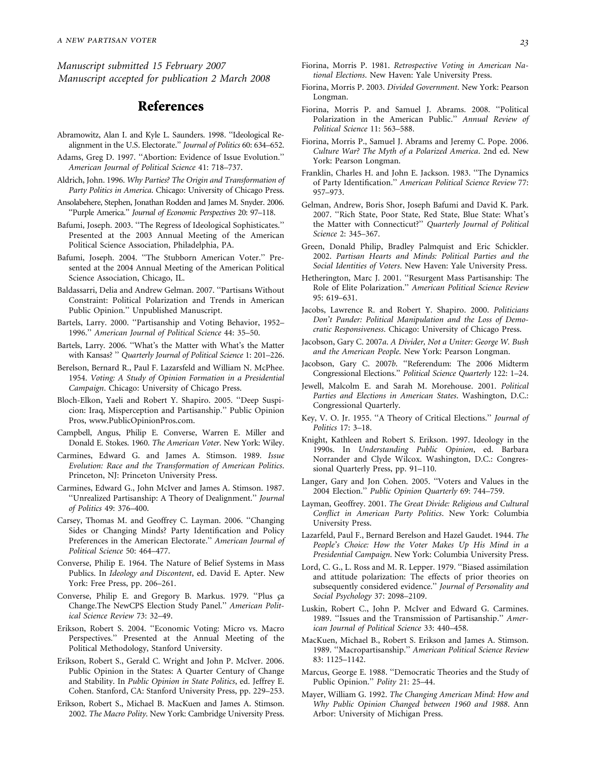Manuscript submitted 15 February 2007 Manuscript accepted for publication 2 March 2008

### References

- Abramowitz, Alan I. and Kyle L. Saunders. 1998. ''Ideological Realignment in the U.S. Electorate.'' Journal of Politics 60: 634–652.
- Adams, Greg D. 1997. ''Abortion: Evidence of Issue Evolution.'' American Journal of Political Science 41: 718–737.
- Aldrich, John. 1996. Why Parties? The Origin and Transformation of Party Politics in America. Chicago: University of Chicago Press.
- Ansolabehere, Stephen, Jonathan Rodden and James M. Snyder. 2006. ''Purple America.'' Journal of Economic Perspectives 20: 97–118.
- Bafumi, Joseph. 2003. ''The Regress of Ideological Sophisticates.'' Presented at the 2003 Annual Meeting of the American Political Science Association, Philadelphia, PA.
- Bafumi, Joseph. 2004. ''The Stubborn American Voter.'' Presented at the 2004 Annual Meeting of the American Political Science Association, Chicago, IL.
- Baldassarri, Delia and Andrew Gelman. 2007. ''Partisans Without Constraint: Political Polarization and Trends in American Public Opinion.'' Unpublished Manuscript.
- Bartels, Larry. 2000. ''Partisanship and Voting Behavior, 1952– 1996.'' American Journal of Political Science 44: 35–50.
- Bartels, Larry. 2006. ''What's the Matter with What's the Matter with Kansas? '' Quarterly Journal of Political Science 1: 201–226.
- Berelson, Bernard R., Paul F. Lazarsfeld and William N. McPhee. 1954. Voting: A Study of Opinion Formation in a Presidential Campaign. Chicago: University of Chicago Press.
- Bloch-Elkon, Yaeli and Robert Y. Shapiro. 2005. ''Deep Suspicion: Iraq, Misperception and Partisanship.'' Public Opinion Pros, www.PublicOpinionPros.com.
- Campbell, Angus, Philip E. Converse, Warren E. Miller and Donald E. Stokes. 1960. The American Voter. New York: Wiley.
- Carmines, Edward G. and James A. Stimson. 1989. Issue Evolution: Race and the Transformation of American Politics. Princeton, NJ: Princeton University Press.
- Carmines, Edward G., John McIver and James A. Stimson. 1987. ''Unrealized Partisanship: A Theory of Dealignment.'' Journal of Politics 49: 376–400.
- Carsey, Thomas M. and Geoffrey C. Layman. 2006. ''Changing Sides or Changing Minds? Party Identification and Policy Preferences in the American Electorate.'' American Journal of Political Science 50: 464–477.
- Converse, Philip E. 1964. The Nature of Belief Systems in Mass Publics. In Ideology and Discontent, ed. David E. Apter. New York: Free Press, pp. 206–261.
- Converse, Philip E. and Gregory B. Markus. 1979. "Plus ça Change.The NewCPS Election Study Panel.'' American Political Science Review 73: 32–49.
- Erikson, Robert S. 2004. ''Economic Voting: Micro vs. Macro Perspectives.'' Presented at the Annual Meeting of the Political Methodology, Stanford University.
- Erikson, Robert S., Gerald C. Wright and John P. McIver. 2006. Public Opinion in the States: A Quarter Century of Change and Stability. In Public Opinion in State Politics, ed. Jeffrey E. Cohen. Stanford, CA: Stanford University Press, pp. 229–253.
- Erikson, Robert S., Michael B. MacKuen and James A. Stimson. 2002. The Macro Polity. New York: Cambridge University Press.
- Fiorina, Morris P. 1981. Retrospective Voting in American National Elections. New Haven: Yale University Press.
- Fiorina, Morris P. 2003. Divided Government. New York: Pearson Longman.
- Fiorina, Morris P. and Samuel J. Abrams. 2008. ''Political Polarization in the American Public.'' Annual Review of Political Science 11: 563–588.
- Fiorina, Morris P., Samuel J. Abrams and Jeremy C. Pope. 2006. Culture War? The Myth of a Polarized America. 2nd ed. New York: Pearson Longman.
- Franklin, Charles H. and John E. Jackson. 1983. ''The Dynamics of Party Identification.'' American Political Science Review 77: 957–973.
- Gelman, Andrew, Boris Shor, Joseph Bafumi and David K. Park. 2007. ''Rich State, Poor State, Red State, Blue State: What's the Matter with Connecticut?'' Quarterly Journal of Political Science 2: 345–367.
- Green, Donald Philip, Bradley Palmquist and Eric Schickler. 2002. Partisan Hearts and Minds: Political Parties and the Social Identities of Voters. New Haven: Yale University Press.
- Hetherington, Marc J. 2001. ''Resurgent Mass Partisanship: The Role of Elite Polarization.'' American Political Science Review 95: 619–631.
- Jacobs, Lawrence R. and Robert Y. Shapiro. 2000. Politicians Don't Pander: Political Manipulation and the Loss of Democratic Responsiveness. Chicago: University of Chicago Press.
- Jacobson, Gary C. 2007a. A Divider, Not a Uniter: George W. Bush and the American People. New York: Pearson Longman.
- Jacobson, Gary C. 2007b. ''Referendum: The 2006 Midterm Congressional Elections.'' Political Science Quarterly 122: 1–24.
- Jewell, Malcolm E. and Sarah M. Morehouse. 2001. Political Parties and Elections in American States. Washington, D.C.: Congressional Quarterly.
- Key, V. O. Jr. 1955. "A Theory of Critical Elections." Journal of Politics 17: 3–18.
- Knight, Kathleen and Robert S. Erikson. 1997. Ideology in the 1990s. In Understanding Public Opinion, ed. Barbara Norrander and Clyde Wilcox. Washington, D.C.: Congressional Quarterly Press, pp. 91–110.
- Langer, Gary and Jon Cohen. 2005. ''Voters and Values in the 2004 Election.'' Public Opinion Quarterly 69: 744–759.
- Layman, Geoffrey. 2001. The Great Divide: Religious and Cultural Conflict in American Party Politics. New York: Columbia University Press.
- Lazarfeld, Paul F., Bernard Berelson and Hazel Gaudet. 1944. The People's Choice: How the Voter Makes Up His Mind in a Presidential Campaign. New York: Columbia University Press.
- Lord, C. G., L. Ross and M. R. Lepper. 1979. ''Biased assimilation and attitude polarization: The effects of prior theories on subsequently considered evidence.'' Journal of Personality and Social Psychology 37: 2098–2109.
- Luskin, Robert C., John P. McIver and Edward G. Carmines. 1989. "Issues and the Transmission of Partisanship." American Journal of Political Science 33: 440–458.
- MacKuen, Michael B., Robert S. Erikson and James A. Stimson. 1989. ''Macropartisanship.'' American Political Science Review 83: 1125–1142.
- Marcus, George E. 1988. ''Democratic Theories and the Study of Public Opinion.'' Polity 21: 25–44.
- Mayer, William G. 1992. The Changing American Mind: How and Why Public Opinion Changed between 1960 and 1988. Ann Arbor: University of Michigan Press.